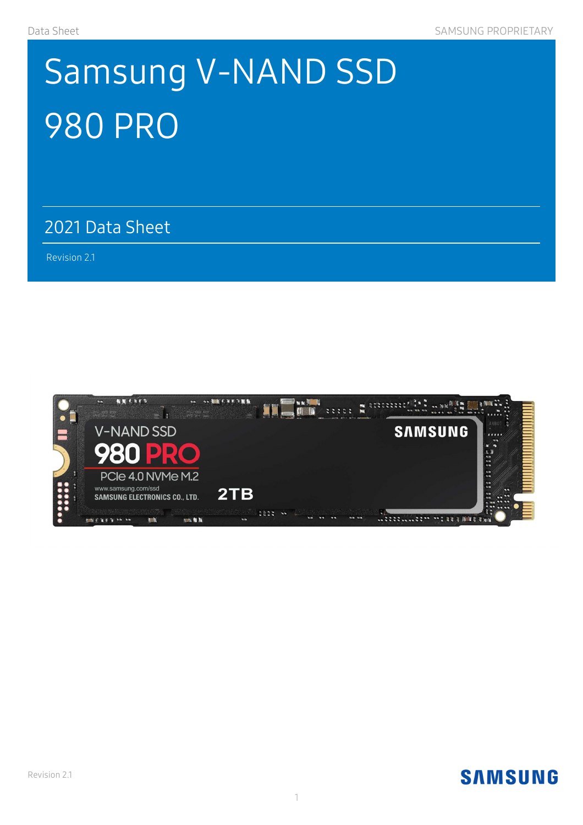# Samsung V-NAND SSD 980 PRO

2021 Data Sheet 2021 Data

Revision 2.1

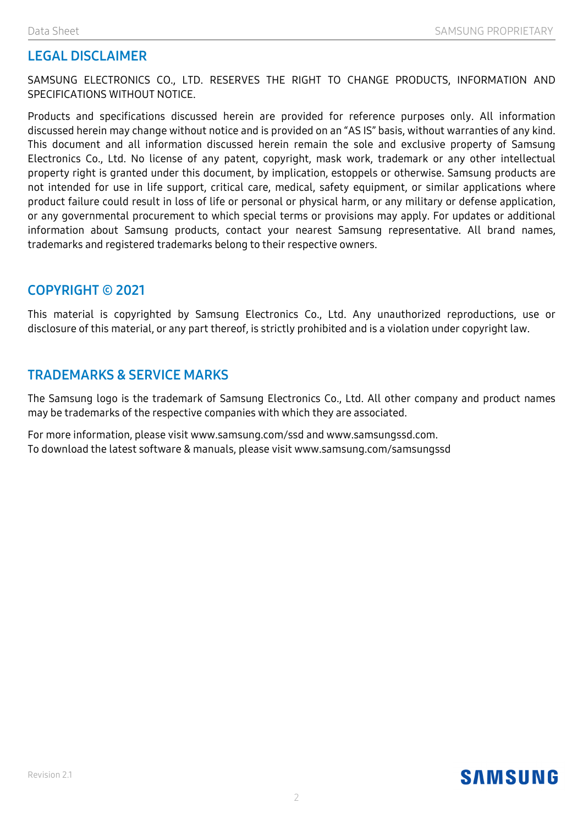#### LEGAL DISCLAIMER

SAMSUNG ELECTRONICS CO., LTD. RESERVES THE RIGHT TO CHANGE PRODUCTS, INFORMATION AND SPECIFICATIONS WITHOUT NOTICE.

Products and specifications discussed herein are provided for reference purposes only. All information discussed herein may change without notice and is provided on an "AS IS" basis, without warranties of any kind. This document and all information discussed herein remain the sole and exclusive property of Samsung Electronics Co., Ltd. No license of any patent, copyright, mask work, trademark or any other intellectual property right is granted under this document, by implication, estoppels or otherwise. Samsung products are not intended for use in life support, critical care, medical, safety equipment, or similar applications where product failure could result in loss of life or personal or physical harm, or any military or defense application, or any governmental procurement to which special terms or provisions may apply. For updates or additional information about Samsung products, contact your nearest Samsung representative. All brand names, trademarks and registered trademarks belong to their respective owners.

#### COPYRIGHT © 2021

This material is copyrighted by Samsung Electronics Co., Ltd. Any unauthorized reproductions, use or disclosure of this material, or any part thereof, is strictly prohibited and is a violation under copyright law.

#### TRADEMARKS & SERVICE MARKS

The Samsung logo is the trademark of Samsung Electronics Co., Ltd. All other company and product names may be trademarks of the respective companies with which they are associated.

For more information, please visit www.samsung.com/ssd and www.samsungssd.com. To download the latest software & manuals, please visit www.samsung.com/samsungssd

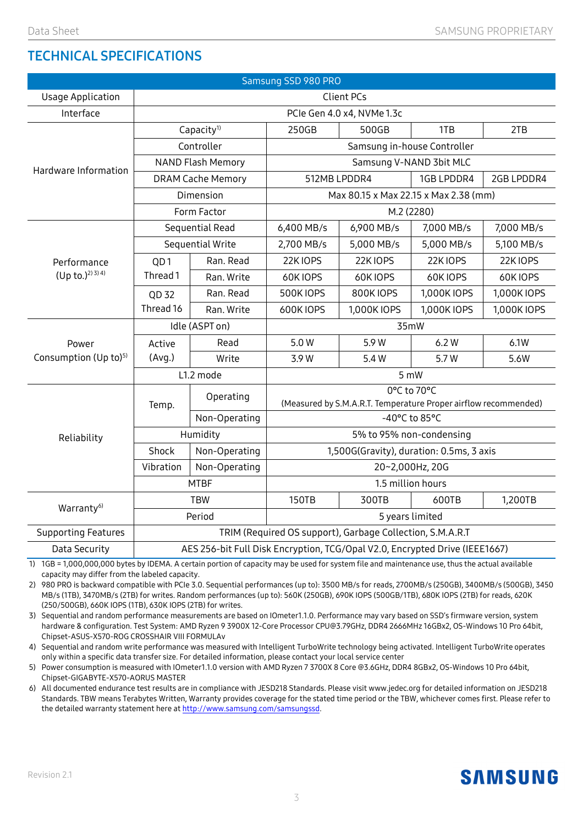#### TECHNICAL SPECIFICATIONS

| Samsung SSD 980 PRO                        |                                                                             |               |                                                                                |             |             |             |  |
|--------------------------------------------|-----------------------------------------------------------------------------|---------------|--------------------------------------------------------------------------------|-------------|-------------|-------------|--|
| <b>Usage Application</b>                   | <b>Client PCs</b>                                                           |               |                                                                                |             |             |             |  |
| Interface                                  | PCIe Gen 4.0 x4, NVMe 1.3c                                                  |               |                                                                                |             |             |             |  |
| Hardware Information                       | Capacity <sup>1)</sup>                                                      |               | 250GB                                                                          | 500GB       | 1TB         | 2TB         |  |
|                                            | Controller                                                                  |               | Samsung in-house Controller                                                    |             |             |             |  |
|                                            | <b>NAND Flash Memory</b>                                                    |               | Samsung V-NAND 3bit MLC                                                        |             |             |             |  |
|                                            | <b>DRAM Cache Memory</b>                                                    |               | 512MB LPDDR4<br>1GB LPDDR4<br>2GB LPDDR4                                       |             |             |             |  |
|                                            | Dimension                                                                   |               | Max 80.15 x Max 22.15 x Max 2.38 (mm)                                          |             |             |             |  |
|                                            | Form Factor                                                                 |               | M.2 (2280)                                                                     |             |             |             |  |
|                                            | Sequential Read                                                             |               | 6,400 MB/s                                                                     | 6,900 MB/s  | 7,000 MB/s  | 7,000 MB/s  |  |
| Performance<br>$(Up to.)^{2(3)}4$          | Sequential Write                                                            |               | 2,700 MB/s                                                                     | 5,000 MB/s  | 5,000 MB/s  | 5,100 MB/s  |  |
|                                            | QD <sub>1</sub>                                                             | Ran. Read     | 22K IOPS                                                                       | 22KIOPS     | 22KIOPS     | 22KIOPS     |  |
|                                            | Thread 1                                                                    | Ran. Write    | 60KIOPS                                                                        | 60KIOPS     | 60K IOPS    | 60KIOPS     |  |
|                                            | QD 32                                                                       | Ran. Read     | <b>500KIOPS</b>                                                                | 800KIOPS    | 1,000K IOPS | 1,000K IOPS |  |
|                                            | Thread 16                                                                   | Ran. Write    | 600KIOPS                                                                       | 1,000K IOPS | 1,000K IOPS | 1,000K IOPS |  |
| Power<br>Consumption (Up to) <sup>5)</sup> | Idle (ASPT on)                                                              |               | 35mW                                                                           |             |             |             |  |
|                                            | Active                                                                      | Read          | 5.0W                                                                           | 5.9 W       | 6.2W        | 6.1W        |  |
|                                            | (Avg.)                                                                      | Write         | 3.9 W                                                                          | 5.4 W       | 5.7W        | 5.6W        |  |
|                                            | L1.2 mode                                                                   |               | 5 mW                                                                           |             |             |             |  |
| Reliability                                | Temp.                                                                       | Operating     | 0°C to 70°C<br>(Measured by S.M.A.R.T. Temperature Proper airflow recommended) |             |             |             |  |
|                                            |                                                                             | Non-Operating | -40°C to 85°C                                                                  |             |             |             |  |
|                                            | Humidity                                                                    |               | 5% to 95% non-condensing                                                       |             |             |             |  |
|                                            | Shock                                                                       | Non-Operating | 1,500G(Gravity), duration: 0.5ms, 3 axis                                       |             |             |             |  |
|                                            | Vibration                                                                   | Non-Operating | 20~2,000Hz, 20G                                                                |             |             |             |  |
|                                            | <b>MTBF</b>                                                                 |               | 1.5 million hours                                                              |             |             |             |  |
| Warranty <sup>6)</sup>                     | <b>TBW</b>                                                                  |               | 150TB                                                                          | 300TB       | 600TB       | 1,200TB     |  |
|                                            | Period                                                                      |               | 5 years limited                                                                |             |             |             |  |
| <b>Supporting Features</b>                 | TRIM (Required OS support), Garbage Collection, S.M.A.R.T                   |               |                                                                                |             |             |             |  |
| Data Security                              | AES 256-bit Full Disk Encryption, TCG/Opal V2.0, Encrypted Drive (IEEE1667) |               |                                                                                |             |             |             |  |

1) 1GB = 1,000,000,000 bytes by IDEMA. A certain portion of capacity may be used for system file and maintenance use, thus the actual available capacity may differ from the labeled capacity.

2) 980 PRO is backward compatible with PCIe 3.0. Sequential performances (up to): 3500 MB/s for reads, 2700MB/s (250GB), 3400MB/s (500GB), 3450 MB/s (1TB), 3470MB/s (2TB) for writes. Random performances (up to): 560K (250GB), 690K IOPS (500GB/1TB), 680K IOPS (2TB) for reads, 620K (250/500GB), 660K IOPS (1TB), 630K IOPS (2TB) for writes.

3) Sequential and random performance measurements are based on IOmeter1.1.0. Performance may vary based on SSD's firmware version, system hardware & configuration. Test System: AMD Ryzen 9 3900X 12-Core Processor CPU@3.79GHz, DDR4 2666MHz 16GBx2, OS-Windows 10 Pro 64bit, Chipset-ASUS-X570-ROG CROSSHAIR VIII FORMULAv

4) Sequential and random write performance was measured with Intelligent TurboWrite technology being activated. Intelligent TurboWrite operates only within a specific data transfer size. For detailed information, please contact your local service center

5) Power consumption is measured with IOmeter1.1.0 version with AMD Ryzen 7 3700X 8 Core @3.6GHz, DDR4 8GBx2, OS-Windows 10 Pro 64bit, Chipset-GIGABYTE-X570-AORUS MASTER

6) All documented endurance test results are in compliance with JESD218 Standards. Please visit www.jedec.org for detailed information on JESD218 Standards. TBW means Terabytes Written, Warranty provides coverage for the stated time period or the TBW, whichever comes first. Please refer to the detailed warranty statement here at http://www.samsung.com/samsungssd.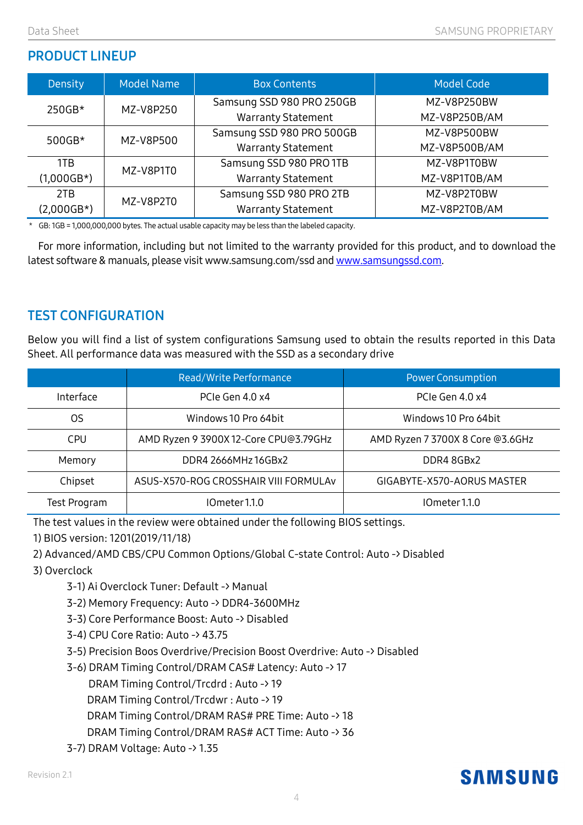#### PRODUCT LINEUP

| Density      | <b>Model Name</b> | <b>Box Contents</b>       | <b>Model Code</b> |
|--------------|-------------------|---------------------------|-------------------|
| 250GB*       | MZ-V8P250         | Samsung SSD 980 PRO 250GB | MZ-V8P250BW       |
|              |                   | <b>Warranty Statement</b> | MZ-V8P250B/AM     |
| $500GB*$     | MZ-V8P500         | Samsung SSD 980 PRO 500GB | MZ-V8P500BW       |
|              |                   | <b>Warranty Statement</b> | MZ-V8P500B/AM     |
| 1TB          | MZ-V8P1T0         | Samsung SSD 980 PRO 1TB   | MZ-V8P1T0BW       |
| $(1,000GB*)$ |                   | <b>Warranty Statement</b> | MZ-V8P1T0B/AM     |
| 2TB          | MZ-V8P2T0         | Samsung SSD 980 PRO 2TB   | MZ-V8P2T0BW       |
| (2,000GB*)   |                   | <b>Warranty Statement</b> | MZ-V8P2T0B/AM     |

\* GB: 1GB = 1,000,000,000 bytes. The actual usable capacity may be less than the labeled capacity.

For more information, including but not limited to the warranty provided for this product, and to download the latest software & manuals, please visit www.samsung.com/ssd and www.samsungssd.com.

#### TEST CONFIGURATION

Below you will find a list of system configurations Samsung used to obtain the results reported in this Data Sheet. All performance data was measured with the SSD as a secondary drive

|              | Read/Write Performance                | <b>Power Consumption</b>         |  |
|--------------|---------------------------------------|----------------------------------|--|
| Interface    | PCIe Gen 4.0 x4                       | PCIe Gen 4.0 x4                  |  |
| OS           | Windows 10 Pro 64bit                  | Windows 10 Pro 64bit             |  |
| <b>CPU</b>   | AMD Ryzen 9 3900X 12-Core CPU@3.79GHz | AMD Ryzen 7 3700X 8 Core @3.6GHz |  |
| Memory       | DDR4 2666MHz 16GBx2                   | DDR4 8GBx2                       |  |
| Chipset      | ASUS-X570-ROG CROSSHAIR VIII FORMULAV | GIGABYTE-X570-AORUS MASTER       |  |
| Test Program | IOmeter 1.1.0                         | IOmeter 1.1.0                    |  |

The test values in the review were obtained under the following BIOS settings.

1) BIOS version: 1201(2019/11/18)

2) Advanced/AMD CBS/CPU Common Options/Global C-state Control: Auto -> Disabled

3) Overclock

3-1) Ai Overclock Tuner: Default -> Manual

3-2) Memory Frequency: Auto -> DDR4-3600MHz

3-3) Core Performance Boost: Auto -> Disabled

3-4) CPU Core Ratio: Auto -> 43.75

3-5) Precision Boos Overdrive/Precision Boost Overdrive: Auto -> Disabled

3-6) DRAM Timing Control/DRAM CAS# Latency: Auto -> 17

DRAM Timing Control/Trcdrd : Auto -> 19

DRAM Timing Control/Trcdwr : Auto -> 19

DRAM Timing Control/DRAM RAS# PRE Time: Auto -> 18

DRAM Timing Control/DRAM RAS# ACT Time: Auto -> 36

3-7) DRAM Voltage: Auto -> 1.35

## **SAMSUNG**